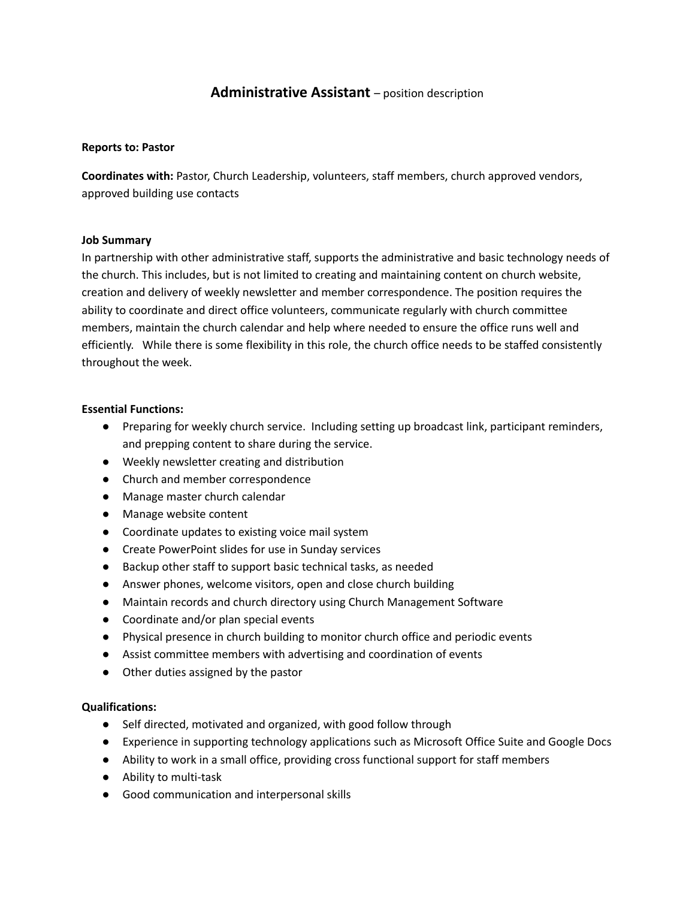# **Administrative Assistant** – position description

### **Reports to: Pastor**

**Coordinates with:** Pastor, Church Leadership, volunteers, staff members, church approved vendors, approved building use contacts

#### **Job Summary**

In partnership with other administrative staff, supports the administrative and basic technology needs of the church. This includes, but is not limited to creating and maintaining content on church website, creation and delivery of weekly newsletter and member correspondence. The position requires the ability to coordinate and direct office volunteers, communicate regularly with church committee members, maintain the church calendar and help where needed to ensure the office runs well and efficiently. While there is some flexibility in this role, the church office needs to be staffed consistently throughout the week.

#### **Essential Functions:**

- Preparing for weekly church service. Including setting up broadcast link, participant reminders, and prepping content to share during the service.
- Weekly newsletter creating and distribution
- Church and member correspondence
- Manage master church calendar
- Manage website content
- Coordinate updates to existing voice mail system
- Create PowerPoint slides for use in Sunday services
- Backup other staff to support basic technical tasks, as needed
- Answer phones, welcome visitors, open and close church building
- Maintain records and church directory using Church Management Software
- Coordinate and/or plan special events
- Physical presence in church building to monitor church office and periodic events
- Assist committee members with advertising and coordination of events
- Other duties assigned by the pastor

## **Qualifications:**

- Self directed, motivated and organized, with good follow through
- Experience in supporting technology applications such as Microsoft Office Suite and Google Docs
- Ability to work in a small office, providing cross functional support for staff members
- Ability to multi-task
- Good communication and interpersonal skills